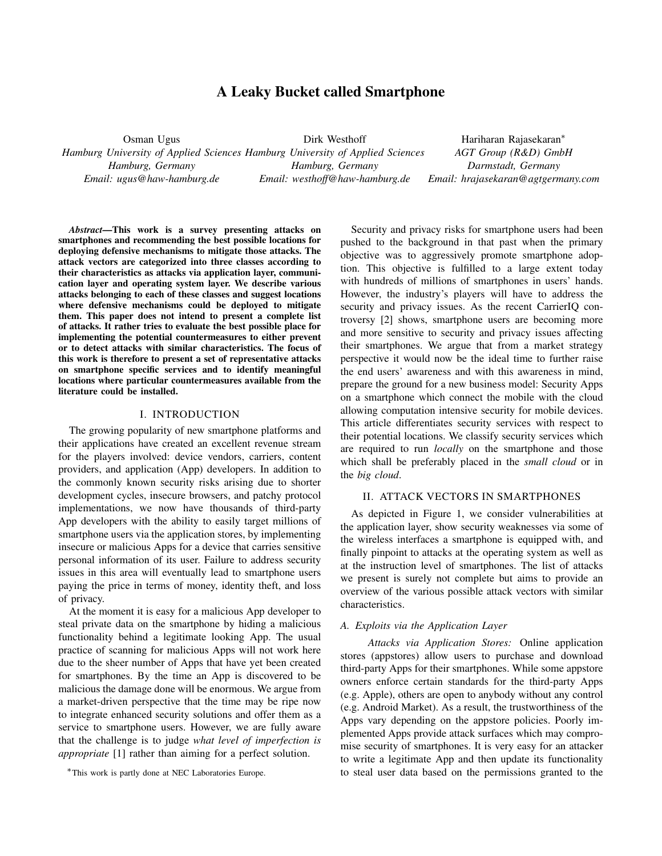# A Leaky Bucket called Smartphone

Osman Ugus

*Hamburg, Germany Email: ugus@haw-hamburg.de*

*Hamburg University of Applied Sciences Hamburg University of Applied Sciences* Dirk Westhoff

> *Hamburg, Germany Email: westhoff@haw-hamburg.de*

Hariharan Rajasekaran<sup>∗</sup> *AGT Group (R&D) GmbH Darmstadt, Germany Email: hrajasekaran@agtgermany.com*

*Abstract*—This work is a survey presenting attacks on smartphones and recommending the best possible locations for deploying defensive mechanisms to mitigate those attacks. The attack vectors are categorized into three classes according to their characteristics as attacks via application layer, communication layer and operating system layer. We describe various attacks belonging to each of these classes and suggest locations where defensive mechanisms could be deployed to mitigate them. This paper does not intend to present a complete list of attacks. It rather tries to evaluate the best possible place for implementing the potential countermeasures to either prevent or to detect attacks with similar characteristics. The focus of this work is therefore to present a set of representative attacks on smartphone specific services and to identify meaningful locations where particular countermeasures available from the literature could be installed.

# I. INTRODUCTION

The growing popularity of new smartphone platforms and their applications have created an excellent revenue stream for the players involved: device vendors, carriers, content providers, and application (App) developers. In addition to the commonly known security risks arising due to shorter development cycles, insecure browsers, and patchy protocol implementations, we now have thousands of third-party App developers with the ability to easily target millions of smartphone users via the application stores, by implementing insecure or malicious Apps for a device that carries sensitive personal information of its user. Failure to address security issues in this area will eventually lead to smartphone users paying the price in terms of money, identity theft, and loss of privacy.

At the moment it is easy for a malicious App developer to steal private data on the smartphone by hiding a malicious functionality behind a legitimate looking App. The usual practice of scanning for malicious Apps will not work here due to the sheer number of Apps that have yet been created for smartphones. By the time an App is discovered to be malicious the damage done will be enormous. We argue from a market-driven perspective that the time may be ripe now to integrate enhanced security solutions and offer them as a service to smartphone users. However, we are fully aware that the challenge is to judge *what level of imperfection is appropriate* [1] rather than aiming for a perfect solution.

∗This work is partly done at NEC Laboratories Europe.

Security and privacy risks for smartphone users had been pushed to the background in that past when the primary objective was to aggressively promote smartphone adoption. This objective is fulfilled to a large extent today with hundreds of millions of smartphones in users' hands. However, the industry's players will have to address the security and privacy issues. As the recent CarrierIQ controversy [2] shows, smartphone users are becoming more and more sensitive to security and privacy issues affecting their smartphones. We argue that from a market strategy perspective it would now be the ideal time to further raise the end users' awareness and with this awareness in mind, prepare the ground for a new business model: Security Apps on a smartphone which connect the mobile with the cloud allowing computation intensive security for mobile devices. This article differentiates security services with respect to their potential locations. We classify security services which are required to run *locally* on the smartphone and those which shall be preferably placed in the *small cloud* or in the *big cloud*.

# II. ATTACK VECTORS IN SMARTPHONES

As depicted in Figure 1, we consider vulnerabilities at the application layer, show security weaknesses via some of the wireless interfaces a smartphone is equipped with, and finally pinpoint to attacks at the operating system as well as at the instruction level of smartphones. The list of attacks we present is surely not complete but aims to provide an overview of the various possible attack vectors with similar characteristics.

# *A. Exploits via the Application Layer*

*Attacks via Application Stores:* Online application stores (appstores) allow users to purchase and download third-party Apps for their smartphones. While some appstore owners enforce certain standards for the third-party Apps (e.g. Apple), others are open to anybody without any control (e.g. Android Market). As a result, the trustworthiness of the Apps vary depending on the appstore policies. Poorly implemented Apps provide attack surfaces which may compromise security of smartphones. It is very easy for an attacker to write a legitimate App and then update its functionality to steal user data based on the permissions granted to the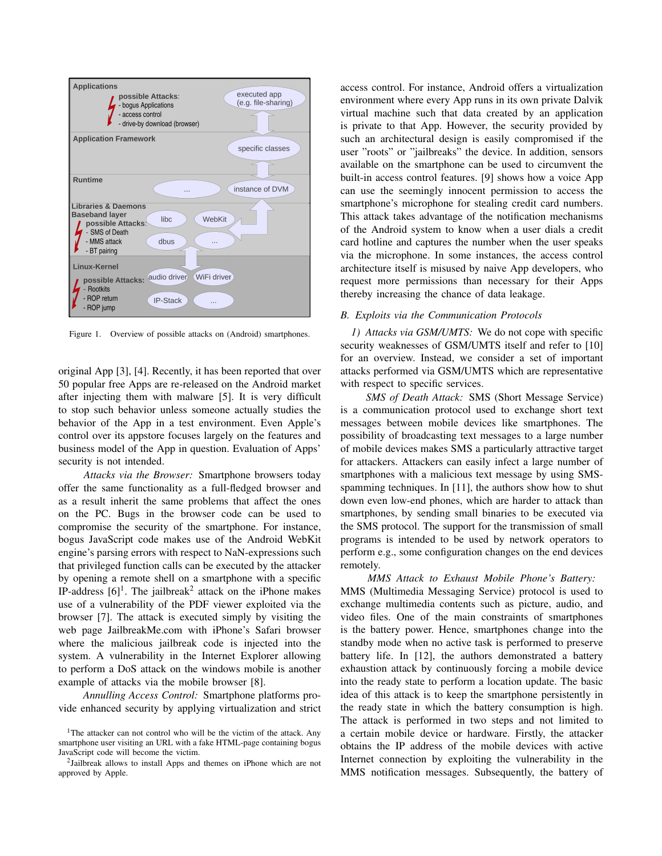

Figure 1. Overview of possible attacks on (Android) smartphones.

original App [3], [4]. Recently, it has been reported that over 50 popular free Apps are re-released on the Android market after injecting them with malware [5]. It is very difficult to stop such behavior unless someone actually studies the behavior of the App in a test environment. Even Apple's control over its appstore focuses largely on the features and business model of the App in question. Evaluation of Apps' security is not intended.

*Attacks via the Browser:* Smartphone browsers today offer the same functionality as a full-fledged browser and as a result inherit the same problems that affect the ones on the PC. Bugs in the browser code can be used to compromise the security of the smartphone. For instance, bogus JavaScript code makes use of the Android WebKit engine's parsing errors with respect to NaN-expressions such that privileged function calls can be executed by the attacker by opening a remote shell on a smartphone with a specific IP-address  $[6]$ <sup>1</sup>. The jailbreak<sup>2</sup> attack on the iPhone makes use of a vulnerability of the PDF viewer exploited via the browser [7]. The attack is executed simply by visiting the web page JailbreakMe.com with iPhone's Safari browser where the malicious jailbreak code is injected into the system. A vulnerability in the Internet Explorer allowing to perform a DoS attack on the windows mobile is another example of attacks via the mobile browser [8].

*Annulling Access Control:* Smartphone platforms provide enhanced security by applying virtualization and strict access control. For instance, Android offers a virtualization environment where every App runs in its own private Dalvik virtual machine such that data created by an application is private to that App. However, the security provided by such an architectural design is easily compromised if the user "roots" or "jailbreaks" the device. In addition, sensors available on the smartphone can be used to circumvent the built-in access control features. [9] shows how a voice App can use the seemingly innocent permission to access the smartphone's microphone for stealing credit card numbers. This attack takes advantage of the notification mechanisms of the Android system to know when a user dials a credit card hotline and captures the number when the user speaks via the microphone. In some instances, the access control architecture itself is misused by naive App developers, who request more permissions than necessary for their Apps thereby increasing the chance of data leakage.

# *B. Exploits via the Communication Protocols*

*1) Attacks via GSM/UMTS:* We do not cope with specific security weaknesses of GSM/UMTS itself and refer to [10] for an overview. Instead, we consider a set of important attacks performed via GSM/UMTS which are representative with respect to specific services.

*SMS of Death Attack:* SMS (Short Message Service) is a communication protocol used to exchange short text messages between mobile devices like smartphones. The possibility of broadcasting text messages to a large number of mobile devices makes SMS a particularly attractive target for attackers. Attackers can easily infect a large number of smartphones with a malicious text message by using SMSspamming techniques. In [11], the authors show how to shut down even low-end phones, which are harder to attack than smartphones, by sending small binaries to be executed via the SMS protocol. The support for the transmission of small programs is intended to be used by network operators to perform e.g., some configuration changes on the end devices remotely.

*MMS Attack to Exhaust Mobile Phone's Battery:* MMS (Multimedia Messaging Service) protocol is used to exchange multimedia contents such as picture, audio, and video files. One of the main constraints of smartphones is the battery power. Hence, smartphones change into the standby mode when no active task is performed to preserve battery life. In [12], the authors demonstrated a battery exhaustion attack by continuously forcing a mobile device into the ready state to perform a location update. The basic idea of this attack is to keep the smartphone persistently in the ready state in which the battery consumption is high. The attack is performed in two steps and not limited to a certain mobile device or hardware. Firstly, the attacker obtains the IP address of the mobile devices with active Internet connection by exploiting the vulnerability in the MMS notification messages. Subsequently, the battery of

<sup>&</sup>lt;sup>1</sup>The attacker can not control who will be the victim of the attack. Any smartphone user visiting an URL with a fake HTML-page containing bogus JavaScript code will become the victim.

<sup>&</sup>lt;sup>2</sup>Jailbreak allows to install Apps and themes on iPhone which are not approved by Apple.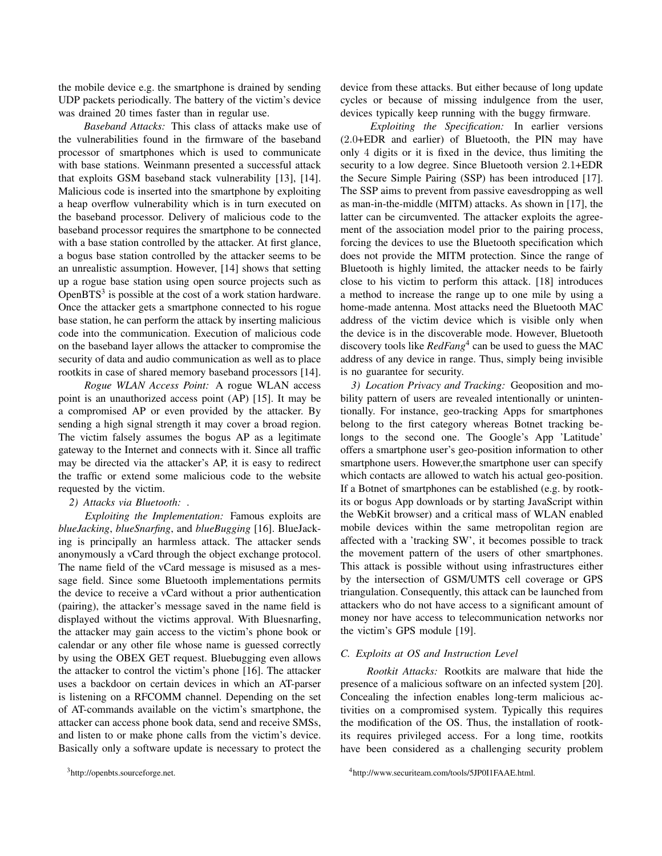the mobile device e.g. the smartphone is drained by sending UDP packets periodically. The battery of the victim's device was drained 20 times faster than in regular use.

*Baseband Attacks:* This class of attacks make use of the vulnerabilities found in the firmware of the baseband processor of smartphones which is used to communicate with base stations. Weinmann presented a successful attack that exploits GSM baseband stack vulnerability [13], [14]. Malicious code is inserted into the smartphone by exploiting a heap overflow vulnerability which is in turn executed on the baseband processor. Delivery of malicious code to the baseband processor requires the smartphone to be connected with a base station controlled by the attacker. At first glance, a bogus base station controlled by the attacker seems to be an unrealistic assumption. However, [14] shows that setting up a rogue base station using open source projects such as OpenBTS<sup>3</sup> is possible at the cost of a work station hardware. Once the attacker gets a smartphone connected to his rogue base station, he can perform the attack by inserting malicious code into the communication. Execution of malicious code on the baseband layer allows the attacker to compromise the security of data and audio communication as well as to place rootkits in case of shared memory baseband processors [14].

*Rogue WLAN Access Point:* A rogue WLAN access point is an unauthorized access point (AP) [15]. It may be a compromised AP or even provided by the attacker. By sending a high signal strength it may cover a broad region. The victim falsely assumes the bogus AP as a legitimate gateway to the Internet and connects with it. Since all traffic may be directed via the attacker's AP, it is easy to redirect the traffic or extend some malicious code to the website requested by the victim.

*2) Attacks via Bluetooth:* .

*Exploiting the Implementation:* Famous exploits are *blueJacking*, *blueSnarfing*, and *blueBugging* [16]. BlueJacking is principally an harmless attack. The attacker sends anonymously a vCard through the object exchange protocol. The name field of the vCard message is misused as a message field. Since some Bluetooth implementations permits the device to receive a vCard without a prior authentication (pairing), the attacker's message saved in the name field is displayed without the victims approval. With Bluesnarfing, the attacker may gain access to the victim's phone book or calendar or any other file whose name is guessed correctly by using the OBEX GET request. Bluebugging even allows the attacker to control the victim's phone [16]. The attacker uses a backdoor on certain devices in which an AT-parser is listening on a RFCOMM channel. Depending on the set of AT-commands available on the victim's smartphone, the attacker can access phone book data, send and receive SMSs, and listen to or make phone calls from the victim's device. Basically only a software update is necessary to protect the

*Exploiting the Specification:* In earlier versions (2.0+EDR and earlier) of Bluetooth, the PIN may have only 4 digits or it is fixed in the device, thus limiting the security to a low degree. Since Bluetooth version 2.1+EDR the Secure Simple Pairing (SSP) has been introduced [17]. The SSP aims to prevent from passive eavesdropping as well as man-in-the-middle (MITM) attacks. As shown in [17], the latter can be circumvented. The attacker exploits the agreement of the association model prior to the pairing process, forcing the devices to use the Bluetooth specification which does not provide the MITM protection. Since the range of Bluetooth is highly limited, the attacker needs to be fairly close to his victim to perform this attack. [18] introduces a method to increase the range up to one mile by using a home-made antenna. Most attacks need the Bluetooth MAC address of the victim device which is visible only when the device is in the discoverable mode. However, Bluetooth discovery tools like *RedFang*<sup>4</sup> can be used to guess the MAC address of any device in range. Thus, simply being invisible is no guarantee for security.

*3) Location Privacy and Tracking:* Geoposition and mobility pattern of users are revealed intentionally or unintentionally. For instance, geo-tracking Apps for smartphones belong to the first category whereas Botnet tracking belongs to the second one. The Google's App 'Latitude' offers a smartphone user's geo-position information to other smartphone users. However,the smartphone user can specify which contacts are allowed to watch his actual geo-position. If a Botnet of smartphones can be established (e.g. by rootkits or bogus App downloads or by starting JavaScript within the WebKit browser) and a critical mass of WLAN enabled mobile devices within the same metropolitan region are affected with a 'tracking SW', it becomes possible to track the movement pattern of the users of other smartphones. This attack is possible without using infrastructures either by the intersection of GSM/UMTS cell coverage or GPS triangulation. Consequently, this attack can be launched from attackers who do not have access to a significant amount of money nor have access to telecommunication networks nor the victim's GPS module [19].

# *C. Exploits at OS and Instruction Level*

*Rootkit Attacks:* Rootkits are malware that hide the presence of a malicious software on an infected system [20]. Concealing the infection enables long-term malicious activities on a compromised system. Typically this requires the modification of the OS. Thus, the installation of rootkits requires privileged access. For a long time, rootkits have been considered as a challenging security problem

device from these attacks. But either because of long update cycles or because of missing indulgence from the user, devices typically keep running with the buggy firmware.

<sup>3</sup>http://openbts.sourceforge.net.

<sup>4</sup>http://www.securiteam.com/tools/5JP0I1FAAE.html.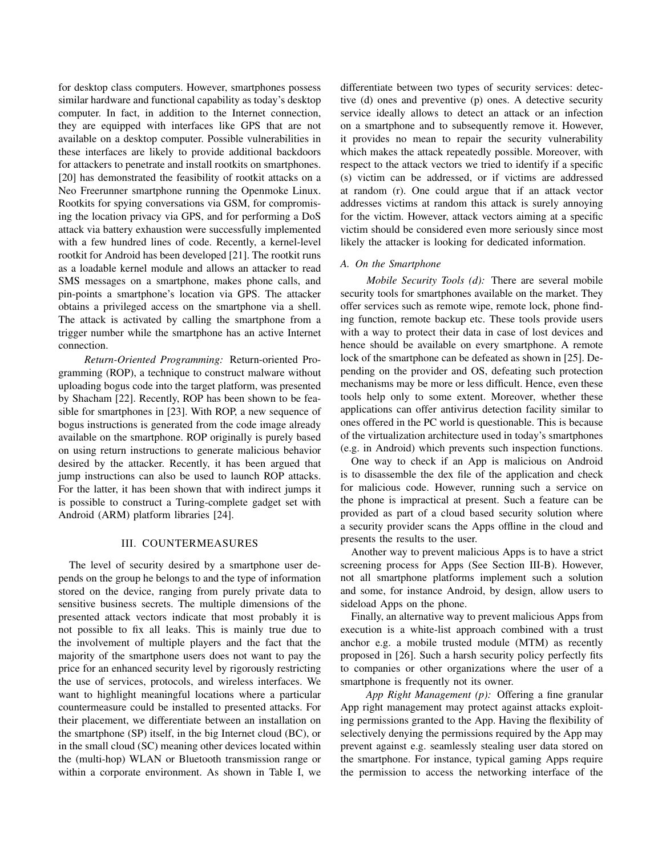for desktop class computers. However, smartphones possess similar hardware and functional capability as today's desktop computer. In fact, in addition to the Internet connection, they are equipped with interfaces like GPS that are not available on a desktop computer. Possible vulnerabilities in these interfaces are likely to provide additional backdoors for attackers to penetrate and install rootkits on smartphones. [20] has demonstrated the feasibility of rootkit attacks on a Neo Freerunner smartphone running the Openmoke Linux. Rootkits for spying conversations via GSM, for compromising the location privacy via GPS, and for performing a DoS attack via battery exhaustion were successfully implemented with a few hundred lines of code. Recently, a kernel-level rootkit for Android has been developed [21]. The rootkit runs as a loadable kernel module and allows an attacker to read SMS messages on a smartphone, makes phone calls, and pin-points a smartphone's location via GPS. The attacker obtains a privileged access on the smartphone via a shell. The attack is activated by calling the smartphone from a trigger number while the smartphone has an active Internet connection.

*Return-Oriented Programming:* Return-oriented Programming (ROP), a technique to construct malware without uploading bogus code into the target platform, was presented by Shacham [22]. Recently, ROP has been shown to be feasible for smartphones in [23]. With ROP, a new sequence of bogus instructions is generated from the code image already available on the smartphone. ROP originally is purely based on using return instructions to generate malicious behavior desired by the attacker. Recently, it has been argued that jump instructions can also be used to launch ROP attacks. For the latter, it has been shown that with indirect jumps it is possible to construct a Turing-complete gadget set with Android (ARM) platform libraries [24].

# III. COUNTERMEASURES

The level of security desired by a smartphone user depends on the group he belongs to and the type of information stored on the device, ranging from purely private data to sensitive business secrets. The multiple dimensions of the presented attack vectors indicate that most probably it is not possible to fix all leaks. This is mainly true due to the involvement of multiple players and the fact that the majority of the smartphone users does not want to pay the price for an enhanced security level by rigorously restricting the use of services, protocols, and wireless interfaces. We want to highlight meaningful locations where a particular countermeasure could be installed to presented attacks. For their placement, we differentiate between an installation on the smartphone (SP) itself, in the big Internet cloud (BC), or in the small cloud (SC) meaning other devices located within the (multi-hop) WLAN or Bluetooth transmission range or within a corporate environment. As shown in Table I, we differentiate between two types of security services: detective (d) ones and preventive (p) ones. A detective security service ideally allows to detect an attack or an infection on a smartphone and to subsequently remove it. However, it provides no mean to repair the security vulnerability which makes the attack repeatedly possible. Moreover, with respect to the attack vectors we tried to identify if a specific (s) victim can be addressed, or if victims are addressed at random (r). One could argue that if an attack vector addresses victims at random this attack is surely annoying for the victim. However, attack vectors aiming at a specific victim should be considered even more seriously since most likely the attacker is looking for dedicated information.

#### *A. On the Smartphone*

*Mobile Security Tools (d):* There are several mobile security tools for smartphones available on the market. They offer services such as remote wipe, remote lock, phone finding function, remote backup etc. These tools provide users with a way to protect their data in case of lost devices and hence should be available on every smartphone. A remote lock of the smartphone can be defeated as shown in [25]. Depending on the provider and OS, defeating such protection mechanisms may be more or less difficult. Hence, even these tools help only to some extent. Moreover, whether these applications can offer antivirus detection facility similar to ones offered in the PC world is questionable. This is because of the virtualization architecture used in today's smartphones (e.g. in Android) which prevents such inspection functions.

One way to check if an App is malicious on Android is to disassemble the dex file of the application and check for malicious code. However, running such a service on the phone is impractical at present. Such a feature can be provided as part of a cloud based security solution where a security provider scans the Apps offline in the cloud and presents the results to the user.

Another way to prevent malicious Apps is to have a strict screening process for Apps (See Section III-B). However, not all smartphone platforms implement such a solution and some, for instance Android, by design, allow users to sideload Apps on the phone.

Finally, an alternative way to prevent malicious Apps from execution is a white-list approach combined with a trust anchor e.g. a mobile trusted module (MTM) as recently proposed in [26]. Such a harsh security policy perfectly fits to companies or other organizations where the user of a smartphone is frequently not its owner.

*App Right Management (p):* Offering a fine granular App right management may protect against attacks exploiting permissions granted to the App. Having the flexibility of selectively denying the permissions required by the App may prevent against e.g. seamlessly stealing user data stored on the smartphone. For instance, typical gaming Apps require the permission to access the networking interface of the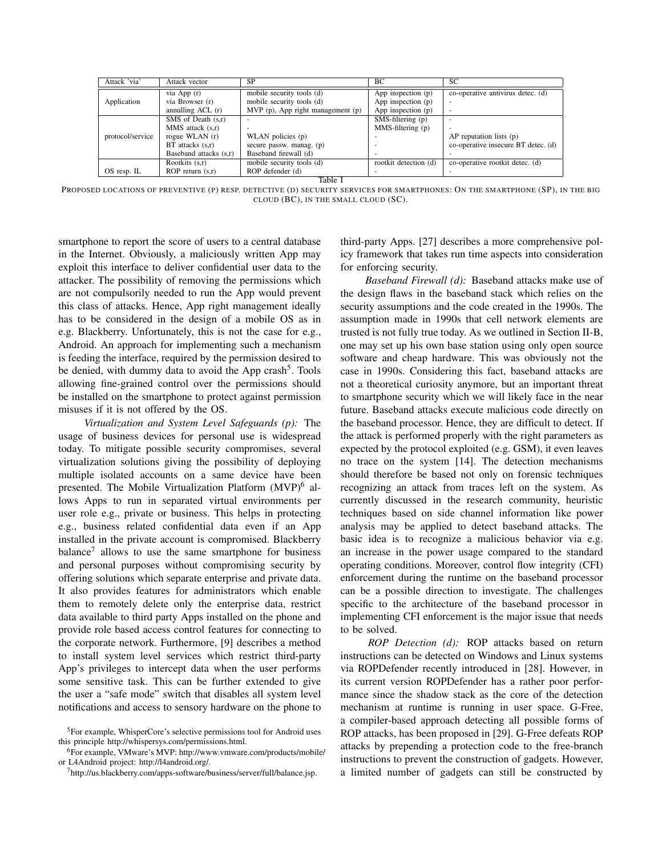| Attack 'via'     | Attack vector                            | <b>SP</b>                           | BC                                    | SC.                                 |
|------------------|------------------------------------------|-------------------------------------|---------------------------------------|-------------------------------------|
|                  | via App $(r)$                            | mobile security tools (d)           | App inspection $(p)$                  | co-operative antivirus detec. (d)   |
| Application      | via Browser (r)                          | mobile security tools (d)           | App inspection $(p)$                  |                                     |
|                  | annulling $ACL(r)$                       | $MVP$ (p), App right management (p) | App inspection $(p)$                  |                                     |
|                  | $\overline{\text{SMS}}$ of Death $(s,r)$ | $\overline{\phantom{a}}$            | $\overline{\text{SMS-filtering}}$ (p) |                                     |
|                  | MMS attack (s.r)                         | $\overline{\phantom{a}}$            | $MMS$ -filtering $(p)$                |                                     |
| protocol/service | rogue WLAN (r)                           | WLAN policies (p)                   |                                       | $AP$ reputation lists $(p)$         |
|                  | $BT$ attacks $(s,r)$                     | secure passw. manag. (p)            |                                       | co-operative insecure BT detec. (d) |
|                  | Baseband attacks (s,r)                   | Baseband firewall (d)               |                                       |                                     |
|                  | Rootkits $(s,r)$                         | mobile security tools (d)           | rootkit detection (d)                 | co-operative rootkit detec. (d)     |
| OS resp. IL      | ROP return $(s,r)$                       | ROP defender (d)                    |                                       |                                     |

Table I

PROPOSED LOCATIONS OF PREVENTIVE (P) RESP. DETECTIVE (D) SECURITY SERVICES FOR SMARTPHONES: ON THE SMARTPHONE (SP), IN THE BIG CLOUD (BC), IN THE SMALL CLOUD (SC).

smartphone to report the score of users to a central database in the Internet. Obviously, a maliciously written App may exploit this interface to deliver confidential user data to the attacker. The possibility of removing the permissions which are not compulsorily needed to run the App would prevent this class of attacks. Hence, App right management ideally has to be considered in the design of a mobile OS as in e.g. Blackberry. Unfortunately, this is not the case for e.g., Android. An approach for implementing such a mechanism is feeding the interface, required by the permission desired to be denied, with dummy data to avoid the App crash<sup>5</sup>. Tools allowing fine-grained control over the permissions should be installed on the smartphone to protect against permission misuses if it is not offered by the OS.

*Virtualization and System Level Safeguards (p):* The usage of business devices for personal use is widespread today. To mitigate possible security compromises, several virtualization solutions giving the possibility of deploying multiple isolated accounts on a same device have been presented. The Mobile Virtualization Platform (MVP)<sup>6</sup> allows Apps to run in separated virtual environments per user role e.g., private or business. This helps in protecting e.g., business related confidential data even if an App installed in the private account is compromised. Blackberry balance<sup>7</sup> allows to use the same smartphone for business and personal purposes without compromising security by offering solutions which separate enterprise and private data. It also provides features for administrators which enable them to remotely delete only the enterprise data, restrict data available to third party Apps installed on the phone and provide role based access control features for connecting to the corporate network. Furthermore, [9] describes a method to install system level services which restrict third-party App's privileges to intercept data when the user performs some sensitive task. This can be further extended to give the user a "safe mode" switch that disables all system level notifications and access to sensory hardware on the phone to third-party Apps. [27] describes a more comprehensive policy framework that takes run time aspects into consideration for enforcing security.

*Baseband Firewall (d):* Baseband attacks make use of the design flaws in the baseband stack which relies on the security assumptions and the code created in the 1990s. The assumption made in 1990s that cell network elements are trusted is not fully true today. As we outlined in Section II-B, one may set up his own base station using only open source software and cheap hardware. This was obviously not the case in 1990s. Considering this fact, baseband attacks are not a theoretical curiosity anymore, but an important threat to smartphone security which we will likely face in the near future. Baseband attacks execute malicious code directly on the baseband processor. Hence, they are difficult to detect. If the attack is performed properly with the right parameters as expected by the protocol exploited (e.g. GSM), it even leaves no trace on the system [14]. The detection mechanisms should therefore be based not only on forensic techniques recognizing an attack from traces left on the system. As currently discussed in the research community, heuristic techniques based on side channel information like power analysis may be applied to detect baseband attacks. The basic idea is to recognize a malicious behavior via e.g. an increase in the power usage compared to the standard operating conditions. Moreover, control flow integrity (CFI) enforcement during the runtime on the baseband processor can be a possible direction to investigate. The challenges specific to the architecture of the baseband processor in implementing CFI enforcement is the major issue that needs to be solved.

*ROP Detection (d):* ROP attacks based on return instructions can be detected on Windows and Linux systems via ROPDefender recently introduced in [28]. However, in its current version ROPDefender has a rather poor performance since the shadow stack as the core of the detection mechanism at runtime is running in user space. G-Free, a compiler-based approach detecting all possible forms of ROP attacks, has been proposed in [29]. G-Free defeats ROP attacks by prepending a protection code to the free-branch instructions to prevent the construction of gadgets. However, a limited number of gadgets can still be constructed by

<sup>5</sup>For example, WhisperCore's selective permissions tool for Android uses this principle http://whispersys.com/permissions.html.

<sup>6</sup>For example, VMware's MVP: http://www.vmware.com/products/mobile/ or L4Android project: http://l4android.org/.

<sup>7</sup>http://us.blackberry.com/apps-software/business/server/full/balance.jsp.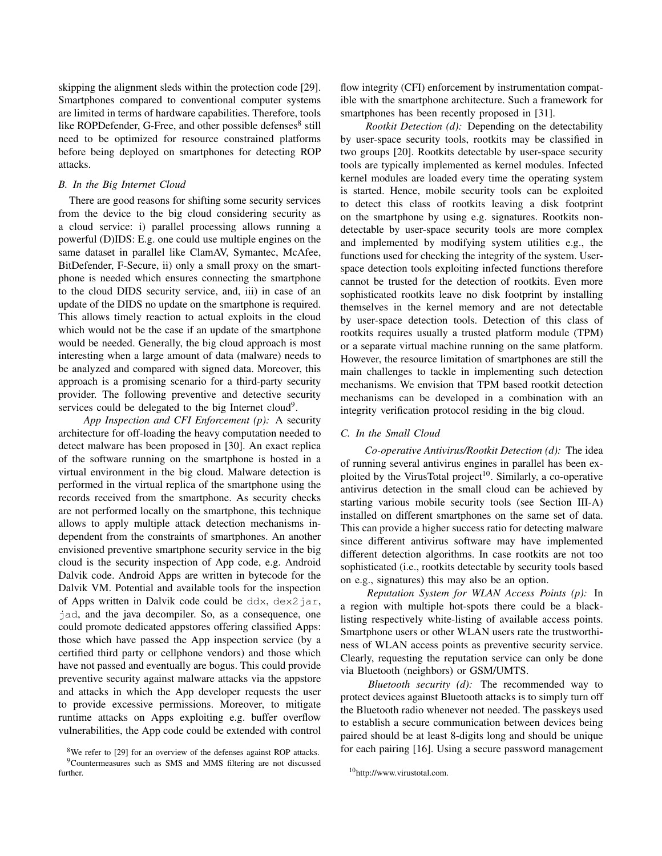skipping the alignment sleds within the protection code [29]. Smartphones compared to conventional computer systems are limited in terms of hardware capabilities. Therefore, tools like ROPDefender, G-Free, and other possible defenses<sup>8</sup> still need to be optimized for resource constrained platforms before being deployed on smartphones for detecting ROP attacks.

#### *B. In the Big Internet Cloud*

There are good reasons for shifting some security services from the device to the big cloud considering security as a cloud service: i) parallel processing allows running a powerful (D)IDS: E.g. one could use multiple engines on the same dataset in parallel like ClamAV, Symantec, McAfee, BitDefender, F-Secure, ii) only a small proxy on the smartphone is needed which ensures connecting the smartphone to the cloud DIDS security service, and, iii) in case of an update of the DIDS no update on the smartphone is required. This allows timely reaction to actual exploits in the cloud which would not be the case if an update of the smartphone would be needed. Generally, the big cloud approach is most interesting when a large amount of data (malware) needs to be analyzed and compared with signed data. Moreover, this approach is a promising scenario for a third-party security provider. The following preventive and detective security services could be delegated to the big Internet cloud<sup>9</sup>.

*App Inspection and CFI Enforcement (p):* A security architecture for off-loading the heavy computation needed to detect malware has been proposed in [30]. An exact replica of the software running on the smartphone is hosted in a virtual environment in the big cloud. Malware detection is performed in the virtual replica of the smartphone using the records received from the smartphone. As security checks are not performed locally on the smartphone, this technique allows to apply multiple attack detection mechanisms independent from the constraints of smartphones. An another envisioned preventive smartphone security service in the big cloud is the security inspection of App code, e.g. Android Dalvik code. Android Apps are written in bytecode for the Dalvik VM. Potential and available tools for the inspection of Apps written in Dalvik code could be ddx, dex2jar, jad, and the java decompiler. So, as a consequence, one could promote dedicated appstores offering classified Apps: those which have passed the App inspection service (by a certified third party or cellphone vendors) and those which have not passed and eventually are bogus. This could provide preventive security against malware attacks via the appstore and attacks in which the App developer requests the user to provide excessive permissions. Moreover, to mitigate runtime attacks on Apps exploiting e.g. buffer overflow vulnerabilities, the App code could be extended with control flow integrity (CFI) enforcement by instrumentation compatible with the smartphone architecture. Such a framework for smartphones has been recently proposed in [31].

*Rootkit Detection (d):* Depending on the detectability by user-space security tools, rootkits may be classified in two groups [20]. Rootkits detectable by user-space security tools are typically implemented as kernel modules. Infected kernel modules are loaded every time the operating system is started. Hence, mobile security tools can be exploited to detect this class of rootkits leaving a disk footprint on the smartphone by using e.g. signatures. Rootkits nondetectable by user-space security tools are more complex and implemented by modifying system utilities e.g., the functions used for checking the integrity of the system. Userspace detection tools exploiting infected functions therefore cannot be trusted for the detection of rootkits. Even more sophisticated rootkits leave no disk footprint by installing themselves in the kernel memory and are not detectable by user-space detection tools. Detection of this class of rootkits requires usually a trusted platform module (TPM) or a separate virtual machine running on the same platform. However, the resource limitation of smartphones are still the main challenges to tackle in implementing such detection mechanisms. We envision that TPM based rootkit detection mechanisms can be developed in a combination with an integrity verification protocol residing in the big cloud.

# *C. In the Small Cloud*

*Co-operative Antivirus/Rootkit Detection (d):* The idea of running several antivirus engines in parallel has been exploited by the VirusTotal project<sup>10</sup>. Similarly, a co-operative antivirus detection in the small cloud can be achieved by starting various mobile security tools (see Section III-A) installed on different smartphones on the same set of data. This can provide a higher success ratio for detecting malware since different antivirus software may have implemented different detection algorithms. In case rootkits are not too sophisticated (i.e., rootkits detectable by security tools based on e.g., signatures) this may also be an option.

*Reputation System for WLAN Access Points (p):* In a region with multiple hot-spots there could be a blacklisting respectively white-listing of available access points. Smartphone users or other WLAN users rate the trustworthiness of WLAN access points as preventive security service. Clearly, requesting the reputation service can only be done via Bluetooth (neighbors) or GSM/UMTS.

*Bluetooth security (d):* The recommended way to protect devices against Bluetooth attacks is to simply turn off the Bluetooth radio whenever not needed. The passkeys used to establish a secure communication between devices being paired should be at least 8-digits long and should be unique for each pairing [16]. Using a secure password management

<sup>&</sup>lt;sup>8</sup>We refer to [29] for an overview of the defenses against ROP attacks. <sup>9</sup>Countermeasures such as SMS and MMS filtering are not discussed further.

<sup>10</sup>http://www.virustotal.com.